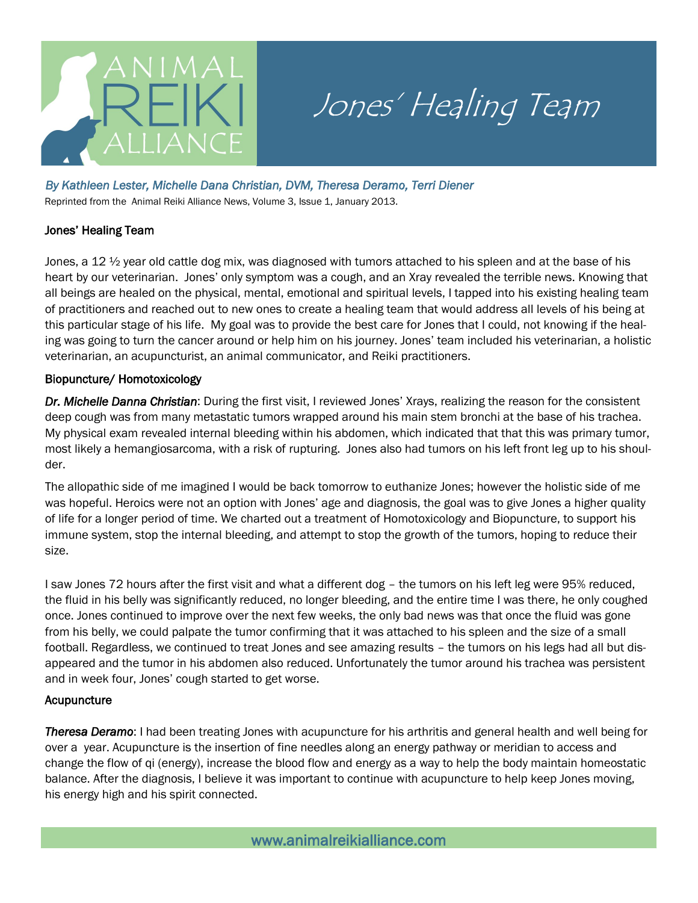

# Jones' Healing Team

### *By Kathleen Lester, Michelle Dana Christian, DVM, Theresa Deramo, Terri Diener*

Reprinted from the Animal Reiki Alliance News, Volume 3, Issue 1, January 2013.

## Jones' Healing Team

Jones, a 12  $\frac{1}{2}$  year old cattle dog mix, was diagnosed with tumors attached to his spleen and at the base of his heart by our veterinarian. Jones' only symptom was a cough, and an Xray revealed the terrible news. Knowing that all beings are healed on the physical, mental, emotional and spiritual levels, I tapped into his existing healing team of practitioners and reached out to new ones to create a healing team that would address all levels of his being at this particular stage of his life. My goal was to provide the best care for Jones that I could, not knowing if the healing was going to turn the cancer around or help him on his journey. Jones' team included his veterinarian, a holistic veterinarian, an acupuncturist, an animal communicator, and Reiki practitioners.

## Biopuncture/ Homotoxicology

*Dr. Michelle Danna Christian*: During the first visit, I reviewed Jones' Xrays, realizing the reason for the consistent deep cough was from many metastatic tumors wrapped around his main stem bronchi at the base of his trachea. My physical exam revealed internal bleeding within his abdomen, which indicated that that this was primary tumor, most likely a hemangiosarcoma, with a risk of rupturing. Jones also had tumors on his left front leg up to his shoulder.

The allopathic side of me imagined I would be back tomorrow to euthanize Jones; however the holistic side of me was hopeful. Heroics were not an option with Jones' age and diagnosis, the goal was to give Jones a higher quality of life for a longer period of time. We charted out a treatment of Homotoxicology and Biopuncture, to support his immune system, stop the internal bleeding, and attempt to stop the growth of the tumors, hoping to reduce their size.

I saw Jones 72 hours after the first visit and what a different dog – the tumors on his left leg were 95% reduced, the fluid in his belly was significantly reduced, no longer bleeding, and the entire time I was there, he only coughed once. Jones continued to improve over the next few weeks, the only bad news was that once the fluid was gone from his belly, we could palpate the tumor confirming that it was attached to his spleen and the size of a small football. Regardless, we continued to treat Jones and see amazing results – the tumors on his legs had all but disappeared and the tumor in his abdomen also reduced. Unfortunately the tumor around his trachea was persistent and in week four, Jones' cough started to get worse.

## Acupuncture

*Theresa Deramo*: I had been treating Jones with acupuncture for his arthritis and general health and well being for over a year. Acupuncture is the insertion of fine needles along an energy pathway or meridian to access and change the flow of qi (energy), increase the blood flow and energy as a way to help the body maintain homeostatic balance. After the diagnosis, I believe it was important to continue with acupuncture to help keep Jones moving, his energy high and his spirit connected.